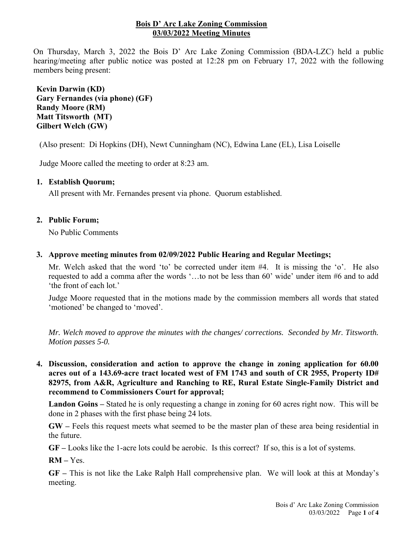## **Bois D' Arc Lake Zoning Commission 03/03/2022 Meeting Minutes**

On Thursday, March 3, 2022 the Bois D' Arc Lake Zoning Commission (BDA-LZC) held a public hearing/meeting after public notice was posted at 12:28 pm on February 17, 2022 with the following members being present:

**Kevin Darwin (KD) Gary Fernandes (via phone) (GF) Randy Moore (RM) Matt Titsworth (MT) Gilbert Welch (GW)**

(Also present: Di Hopkins (DH), Newt Cunningham (NC), Edwina Lane (EL), Lisa Loiselle

Judge Moore called the meeting to order at 8:23 am.

## **1. Establish Quorum;**

All present with Mr. Fernandes present via phone. Quorum established.

## **2. Public Forum;**

No Public Comments

## **3. Approve meeting minutes from 02/09/2022 Public Hearing and Regular Meetings;**

Mr. Welch asked that the word 'to' be corrected under item #4. It is missing the 'o'. He also requested to add a comma after the words '…to not be less than 60' wide' under item #6 and to add 'the front of each lot.'

Judge Moore requested that in the motions made by the commission members all words that stated 'motioned' be changed to 'moved'.

*Mr. Welch moved to approve the minutes with the changes/ corrections. Seconded by Mr. Titsworth. Motion passes 5-0.*

**4. Discussion, consideration and action to approve the change in zoning application for 60.00 acres out of a 143.69-acre tract located west of FM 1743 and south of CR 2955, Property ID# 82975, from A&R, Agriculture and Ranching to RE, Rural Estate Single-Family District and recommend to Commissioners Court for approval;**

**Landon Goins –** Stated he is only requesting a change in zoning for 60 acres right now. This will be done in 2 phases with the first phase being 24 lots.

**GW –** Feels this request meets what seemed to be the master plan of these area being residential in the future.

**GF –** Looks like the 1-acre lots could be aerobic. Is this correct? If so, this is a lot of systems.

**RM –** Yes.

**GF –** This is not like the Lake Ralph Hall comprehensive plan. We will look at this at Monday's meeting.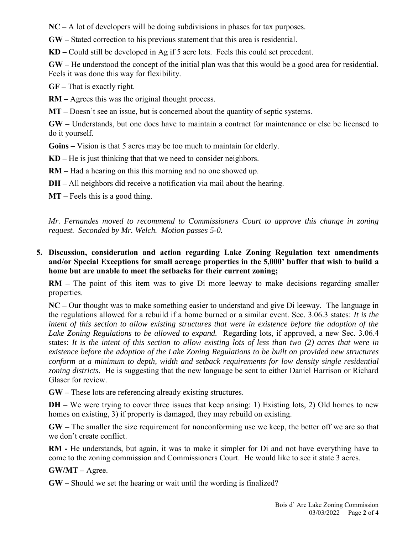**NC –** A lot of developers will be doing subdivisions in phases for tax purposes.

**GW –** Stated correction to his previous statement that this area is residential.

**KD –** Could still be developed in Ag if 5 acre lots. Feels this could set precedent.

**GW –** He understood the concept of the initial plan was that this would be a good area for residential. Feels it was done this way for flexibility.

**GF –** That is exactly right.

**RM –** Agrees this was the original thought process.

**MT –** Doesn't see an issue, but is concerned about the quantity of septic systems.

**GW –** Understands, but one does have to maintain a contract for maintenance or else be licensed to do it yourself.

**Goins –** Vision is that 5 acres may be too much to maintain for elderly.

**KD –** He is just thinking that that we need to consider neighbors.

**RM –** Had a hearing on this this morning and no one showed up.

**DH –** All neighbors did receive a notification via mail about the hearing.

**MT –** Feels this is a good thing.

*Mr. Fernandes moved to recommend to Commissioners Court to approve this change in zoning request. Seconded by Mr. Welch. Motion passes 5-0.*

## **5. Discussion, consideration and action regarding Lake Zoning Regulation text amendments and/or Special Exceptions for small acreage properties in the 5,000' buffer that wish to build a home but are unable to meet the setbacks for their current zoning;**

**RM –** The point of this item was to give Di more leeway to make decisions regarding smaller properties.

**NC –** Our thought was to make something easier to understand and give Di leeway. The language in the regulations allowed for a rebuild if a home burned or a similar event. Sec. 3.06.3 states: *It is the intent of this section to allow existing structures that were in existence before the adoption of the Lake Zoning Regulations to be allowed to expand.* Regarding lots, if approved, a new Sec. 3.06.4 states: *It is the intent of this section to allow existing lots of less than two (2) acres that were in existence before the adoption of the Lake Zoning Regulations to be built on provided new structures conform at a minimum to depth, width and setback requirements for low density single residential zoning districts.* He is suggesting that the new language be sent to either Daniel Harrison or Richard Glaser for review.

**GW –** These lots are referencing already existing structures.

**DH** – We were trying to cover three issues that keep arising: 1) Existing lots, 2) Old homes to new homes on existing, 3) if property is damaged, they may rebuild on existing.

**GW –** The smaller the size requirement for nonconforming use we keep, the better off we are so that we don't create conflict.

**RM -** He understands, but again, it was to make it simpler for Di and not have everything have to come to the zoning commission and Commissioners Court. He would like to see it state 3 acres.

**GW/MT –** Agree.

**GW –** Should we set the hearing or wait until the wording is finalized?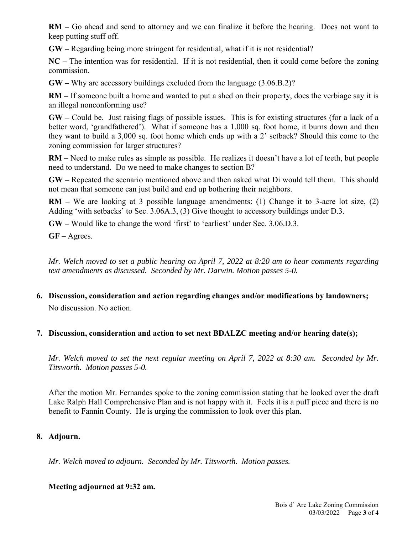**RM –** Go ahead and send to attorney and we can finalize it before the hearing. Does not want to keep putting stuff off.

**GW –** Regarding being more stringent for residential, what if it is not residential?

**NC –** The intention was for residential. If it is not residential, then it could come before the zoning commission.

**GW –** Why are accessory buildings excluded from the language (3.06.B.2)?

**RM –** If someone built a home and wanted to put a shed on their property, does the verbiage say it is an illegal nonconforming use?

**GW –** Could be. Just raising flags of possible issues. This is for existing structures (for a lack of a better word, 'grandfathered'). What if someone has a 1,000 sq. foot home, it burns down and then they want to build a 3,000 sq. foot home which ends up with a 2' setback? Should this come to the zoning commission for larger structures?

**RM –** Need to make rules as simple as possible. He realizes it doesn't have a lot of teeth, but people need to understand. Do we need to make changes to section B?

**GW –** Repeated the scenario mentioned above and then asked what Di would tell them. This should not mean that someone can just build and end up bothering their neighbors.

**RM –** We are looking at 3 possible language amendments: (1) Change it to 3-acre lot size, (2) Adding 'with setbacks' to Sec. 3.06A.3, (3) Give thought to accessory buildings under D.3.

**GW –** Would like to change the word 'first' to 'earliest' under Sec. 3.06.D.3.

**GF –** Agrees.

*Mr. Welch moved to set a public hearing on April 7, 2022 at 8:20 am to hear comments regarding text amendments as discussed. Seconded by Mr. Darwin. Motion passes 5-0.*

- **6. Discussion, consideration and action regarding changes and/or modifications by landowners;** No discussion. No action.
- **7. Discussion, consideration and action to set next BDALZC meeting and/or hearing date(s);**

*Mr. Welch moved to set the next regular meeting on April 7, 2022 at 8:30 am. Seconded by Mr. Titsworth. Motion passes 5-0.*

After the motion Mr. Fernandes spoke to the zoning commission stating that he looked over the draft Lake Ralph Hall Comprehensive Plan and is not happy with it. Feels it is a puff piece and there is no benefit to Fannin County. He is urging the commission to look over this plan.

# **8. Adjourn.**

*Mr. Welch moved to adjourn. Seconded by Mr. Titsworth. Motion passes.*

**Meeting adjourned at 9:32 am.**